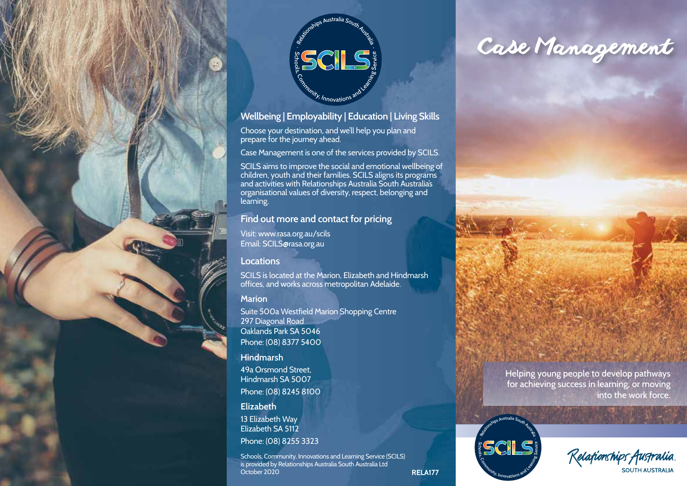



## **Wellbeing | Employability | Education | Living Skills**

Choose your destination, and we'll help you plan and prepare for the journey ahead.

Case Management is one of the services provided by SCILS.

SCILS aims to improve the social and emotional wellbeing of children, youth and their families. SCILS aligns its programs and activities with Relationships Australia South Australia's organisational values of diversity, respect, belonging and learning.

## **Find out more and contact for pricing**

Visit: www.rasa.org.au/scils Email: SCILS@rasa.org.au

#### **Locations**

SCILS is located at the Marion, Elizabeth and Hindmarsh offices, and works across metropolitan Adelaide.

#### **Marion**

Suite 500a Westfield Marion Shopping Centre 297 Diagonal Road Oaklands Park SA 5046 Phone: (08) 8377 5400

#### **Hindmarsh**

49a Orsmond Street, Hindmarsh SA 5007 Phone: (08) 8245 8100

#### **Elizabeth**

13 Elizabeth Way Elizabeth SA 5112 Phone: (08) 8255 3323

Schools, Community, Innovations and Learning Service (SCILS) is provided by Relationships Australia South Australia Ltd October 2020

# *Case Management*







**RELA177**